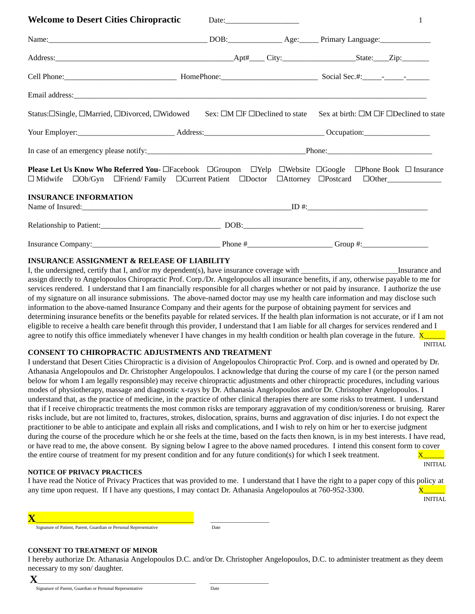| <b>Welcome to Desert Cities Chiropractic</b>                                                                                                                                                                                  |  | 1 |
|-------------------------------------------------------------------------------------------------------------------------------------------------------------------------------------------------------------------------------|--|---|
| Name: Name: Name: Name: Name: Name: Name: Name: Name: Name: Name: Name: Name: Name: Name: Name: Name: Name: Name: Name: Name: Name: Name: Name: Name: Name: Name: Name: Name: Name: Name: Name: Name: Name: Name: Name: Name: |  |   |
|                                                                                                                                                                                                                               |  |   |
|                                                                                                                                                                                                                               |  |   |
| Email address: Note and the set of the set of the set of the set of the set of the set of the set of the set of the set of the set of the set of the set of the set of the set of the set of the set of the set of the set of |  |   |
| Status: [Single, DMarried, DDivorced, DWidowed Sex: DM DF DDeclined to state Sex at birth: DM DF DDeclined to state                                                                                                           |  |   |
|                                                                                                                                                                                                                               |  |   |
|                                                                                                                                                                                                                               |  |   |
| Please Let Us Know Who Referred You- □Facebook □Groupon □Yelp □Website □Google □Phone Book □ Insurance<br>□ Midwife □Ob/Gyn □Friend/Family □Current Patient □Doctor □Attorney □Postcard □Other______________                  |  |   |
| <b>INSURANCE INFORMATION</b>                                                                                                                                                                                                  |  |   |
|                                                                                                                                                                                                                               |  |   |
|                                                                                                                                                                                                                               |  |   |

## **INSURANCE ASSIGNMENT & RELEASE OF LIABILITY**

I, the undersigned, certify that I, and/or my dependent(s), have insurance coverage with  $\blacksquare$  Insurance and assign directly to Angelopoulos Chiropractic Prof. Corp./Dr. Angelopoulos all insurance benefits, if any, otherwise payable to me for services rendered. I understand that I am financially responsible for all charges whether or not paid by insurance. I authorize the use of my signature on all insurance submissions. The above-named doctor may use my health care information and may disclose such information to the above-named Insurance Company and their agents for the purpose of obtaining payment for services and determining insurance benefits or the benefits payable for related services. If the health plan information is not accurate, or if I am not eligible to receive a health care benefit through this provider, I understand that I am liable for all charges for services rendered and I agree to notify this office immediately whenever I have changes in my health condition or health plan coverage in the future.  $\bar{X}$ 

INITIAL

#### **CONSENT TO CHIROPRACTIC ADJUSTMENTS AND TREATMENT**

**X**\_\_\_\_\_\_\_\_\_\_\_\_\_\_\_\_\_\_\_\_\_\_\_\_\_\_\_\_\_\_\_\_\_\_\_\_\_\_\_\_\_\_\_\_\_\_\_\_\_\_\_ \_\_\_\_\_\_\_\_\_\_\_\_\_\_\_\_\_\_\_

I understand that Desert Cities Chiropractic is a division of Angelopoulos Chiropractic Prof. Corp. and is owned and operated by Dr. Athanasia Angelopoulos and Dr. Christopher Angelopoulos. I acknowledge that during the course of my care I (or the person named below for whom I am legally responsible) may receive chiropractic adjustments and other chiropractic procedures, including various modes of physiotherapy, massage and diagnostic x-rays by Dr. Athanasia Angelopoulos and/or Dr. Christopher Angelopoulos. I understand that, as the practice of medicine, in the practice of other clinical therapies there are some risks to treatment. I understand that if I receive chiropractic treatments the most common risks are temporary aggravation of my condition/soreness or bruising. Rarer risks include, but are not limited to, fractures, strokes, dislocation, sprains, burns and aggravation of disc injuries. I do not expect the practitioner to be able to anticipate and explain all risks and complications, and I wish to rely on him or her to exercise judgment during the course of the procedure which he or she feels at the time, based on the facts then known, is in my best interests. I have read, or have read to me, the above consent. By signing below I agree to the above named procedures. I intend this consent form to cover the entire course of treatment for my present condition and for any future condition(s) for which I seek treatment.  $\overline{X}$ 

#### **NOTICE OF PRIVACY PRACTICES**

I have read the Notice of Privacy Practices that was provided to me. I understand that I have the right to a paper copy of this policy at any time upon request. If I have any questions, I may contact Dr. Athanasia Angelopoulos at 760-952-3300.  $\overline{X}$ 

INITIAL

INITIAL

| Signature of Patient, Parent, Guardian or Personal Representative | Date |
|-------------------------------------------------------------------|------|
|                                                                   |      |

**X**\_\_\_\_\_\_\_\_\_\_\_\_\_\_\_\_\_\_\_\_\_\_\_\_\_\_\_\_\_\_\_\_\_\_\_\_\_\_\_\_\_\_\_\_\_\_\_\_\_\_\_ \_\_\_\_\_\_\_\_\_\_\_\_\_\_\_\_\_\_\_

#### **CONSENT TO TREATMENT OF MINOR**

I hereby authorize Dr. Athanasia Angelopoulos D.C. and/or Dr. Christopher Angelopoulos, D.C. to administer treatment as they deem necessary to my son/ daughter.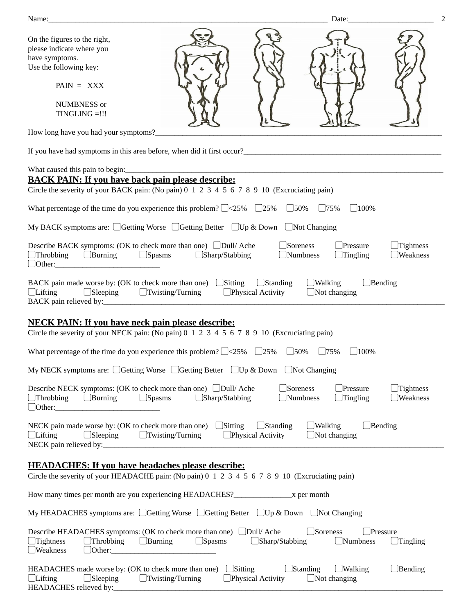| Date:<br>Name:                                                                                                                                                                                                                                                                                                                                                                                                                                             | $\overline{2}$ |  |  |  |  |  |  |  |
|------------------------------------------------------------------------------------------------------------------------------------------------------------------------------------------------------------------------------------------------------------------------------------------------------------------------------------------------------------------------------------------------------------------------------------------------------------|----------------|--|--|--|--|--|--|--|
| On the figures to the right,<br>please indicate where you<br>have symptoms.<br>Use the following key:                                                                                                                                                                                                                                                                                                                                                      |                |  |  |  |  |  |  |  |
| $PAIN = XXX$                                                                                                                                                                                                                                                                                                                                                                                                                                               |                |  |  |  |  |  |  |  |
| NUMBNESS or<br>TINGLING =!!!                                                                                                                                                                                                                                                                                                                                                                                                                               |                |  |  |  |  |  |  |  |
|                                                                                                                                                                                                                                                                                                                                                                                                                                                            |                |  |  |  |  |  |  |  |
| If you have had symptoms in this area before, when did it first occur?<br>The same state of the state of the state of the state of the state of the state of the state of the state of the state of the state of the state of th                                                                                                                                                                                                                           |                |  |  |  |  |  |  |  |
|                                                                                                                                                                                                                                                                                                                                                                                                                                                            |                |  |  |  |  |  |  |  |
| <b>BACK PAIN: If you have back pain please describe:</b><br>Circle the severity of your BACK pain: (No pain) 0 1 2 3 4 5 6 7 8 9 10 (Excruciating pain)                                                                                                                                                                                                                                                                                                    |                |  |  |  |  |  |  |  |
| What percentage of the time do you experience this problem? $\Box$ <25% $\Box$ 25% $\Box$ 50% $\Box$ 75%<br>$\Box$ 100%                                                                                                                                                                                                                                                                                                                                    |                |  |  |  |  |  |  |  |
| My BACK symptoms are: CGetting Worse CGetting Better CUp & Down Not Changing                                                                                                                                                                                                                                                                                                                                                                               |                |  |  |  |  |  |  |  |
| Describe BACK symptoms: (OK to check more than one) □Dull/ Ache<br>Soreness<br>Pressure<br>Tightness<br>$\Box$ Sharp/Stabbing<br>Weakness<br>$\Box$ Throbbing<br>$\Box$ Burning<br>$\Box$ Spasms<br>Numbness<br>Tingling                                                                                                                                                                                                                                   |                |  |  |  |  |  |  |  |
| BACK pain made worse by: (OK to check more than one) $\Box$ Sitting<br>$\Box$ Walking<br>$\Box$ Standing<br>$\Box$ Bending<br>$\Box$ Physical Activity<br>$\Box$ Lifting<br>$\Box$ Sleeping $\Box$ Twisting/Turning<br>$\Box$ Not changing                                                                                                                                                                                                                 |                |  |  |  |  |  |  |  |
| <b>NECK PAIN: If you have neck pain please describe:</b><br>Circle the severity of your NECK pain: (No pain) 0 1 2 3 4 5 6 7 8 9 10 (Excruciating pain)                                                                                                                                                                                                                                                                                                    |                |  |  |  |  |  |  |  |
| What percentage of the time do you experience this problem? $\square$ <25% $\square$ 25% $\square$ 50%<br>$\Box$ 75%<br>$\Box$ 100%                                                                                                                                                                                                                                                                                                                        |                |  |  |  |  |  |  |  |
| My NECK symptoms are: CGetting Worse CGetting Better CUp & Down CNot Changing                                                                                                                                                                                                                                                                                                                                                                              |                |  |  |  |  |  |  |  |
| Describe NECK symptoms: (OK to check more than one) □Dull/ Ache<br>Soreness<br>Pressure<br>Tightness<br>$\Box$ Burning<br>$\Box$ Spasms<br>Numbness<br>Weakness<br>$\Box$ Throbbing<br>$\Box$ Sharp/Stabbing<br>Tingling<br>Other: Demonstration of the contract of the contract of the contract of the contract of the contract of the contract of the contract of the contract of the contract of the contract of the contract of the contract of the co |                |  |  |  |  |  |  |  |
| NECK pain made worse by: (OK to check more than one) $\Box$ Sitting<br>$\Box$ Standing<br>$\Box$ Walking<br>$\Box$ Bending<br>$\Box$ Sleeping<br>$\Box$ Twisting/Turning<br>$\Box$ Physical Activity<br>$\Box$ Lifting<br>$\Box$ Not changing                                                                                                                                                                                                              |                |  |  |  |  |  |  |  |
| <b>HEADACHES: If you have headaches please describe:</b><br>Circle the severity of your HEADACHE pain: (No pain) 0 1 2 3 4 5 6 7 8 9 10 (Excruciating pain)                                                                                                                                                                                                                                                                                                |                |  |  |  |  |  |  |  |
|                                                                                                                                                                                                                                                                                                                                                                                                                                                            |                |  |  |  |  |  |  |  |
| My HEADACHES symptoms are: CGetting Worse CGetting Better CUp & Down Not Changing                                                                                                                                                                                                                                                                                                                                                                          |                |  |  |  |  |  |  |  |
| Describe HEADACHES symptoms: (OK to check more than one) □Dull/ Ache<br>$\Box$ Soreness<br>Pressure<br>$\Box$ Throbbing<br>$\Box$ Tightness<br>$\Box$ Burning<br>$\Box$ Spasms<br>$\Box$ Sharp/Stabbing<br>$\Box$ Numbness<br>$\Box$ Tingling<br>$\Box$ Weakness<br>$\Box$ Other: $\_$                                                                                                                                                                     |                |  |  |  |  |  |  |  |
| $\Box$ Sitting<br>$\Box$ Standing<br>HEADACHES made worse by: (OK to check more than one)<br>$\Box$ Walking<br>Bending<br>Physical Activity<br>$\Box$ Lifting<br>$\Box$ Sleeping<br>$\Box$ Twisting/Turning<br>$\Box$ Not changing<br>HEADACHES relieved by:                                                                                                                                                                                               |                |  |  |  |  |  |  |  |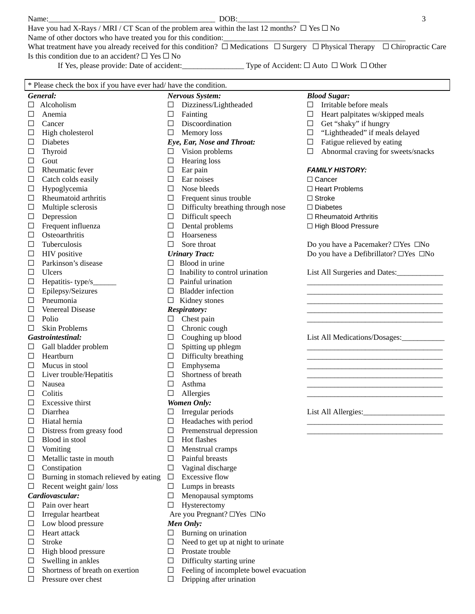| Name:                                                                                                        | DOB:                                                                                                                                            |  |  |  |  |  |
|--------------------------------------------------------------------------------------------------------------|-------------------------------------------------------------------------------------------------------------------------------------------------|--|--|--|--|--|
| Have you had X-Rays / MRI / CT Scan of the problem area within the last 12 months? $\Box$ Yes $\Box$ No      |                                                                                                                                                 |  |  |  |  |  |
|                                                                                                              | Name of other doctors who have treated you for this condition:                                                                                  |  |  |  |  |  |
|                                                                                                              | What treatment have you already received for this condition? $\Box$ Medications $\Box$ Surgery $\Box$ Physical Therapy $\Box$ Chiropractic Care |  |  |  |  |  |
|                                                                                                              | Is this condition due to an accident? $\square$ Yes $\square$ No                                                                                |  |  |  |  |  |
| Type of Accident: $\square$ Auto $\square$ Work $\square$ Other<br>If Yes, please provide: Date of accident: |                                                                                                                                                 |  |  |  |  |  |
|                                                                                                              |                                                                                                                                                 |  |  |  |  |  |

| * Please check the box if you have ever had/ have the condition. |                                       |                  |                                       |        |                                         |  |  |
|------------------------------------------------------------------|---------------------------------------|------------------|---------------------------------------|--------|-----------------------------------------|--|--|
|                                                                  | General:                              |                  | <b>Nervous System:</b>                |        | <b>Blood Sugar:</b>                     |  |  |
| □                                                                | Alcoholism                            | $\Box$           | Dizziness/Lightheaded                 | $\Box$ | Irritable before meals                  |  |  |
| $\Box$                                                           | Anemia                                | $\Box$           | Fainting                              | $\Box$ | Heart palpitates w/skipped meals        |  |  |
| $\Box$                                                           | Cancer                                | $\Box$           | Discoordination                       | $\Box$ | Get "shaky" if hungry                   |  |  |
| $\Box$                                                           | High cholesterol                      | $\Box$           | Memory loss                           | $\Box$ | "Lightheaded" if meals delayed          |  |  |
| $\Box$                                                           | <b>Diabetes</b>                       |                  | Eye, Ear, Nose and Throat:            | $\Box$ | Fatigue relieved by eating              |  |  |
| □                                                                | Thyroid                               | $\Box$           | Vision problems                       | $\Box$ | Abnormal craving for sweets/snacks      |  |  |
| $\Box$                                                           | Gout                                  | $\Box$           | <b>Hearing</b> loss                   |        |                                         |  |  |
| $\Box$                                                           | Rheumatic fever                       | $\Box$           | Ear pain                              |        | <b>FAMILY HISTORY:</b>                  |  |  |
| □                                                                | Catch colds easily                    | $\Box$           | Ear noises                            |        | $\Box$ Cancer                           |  |  |
| $\Box$                                                           | Hypoglycemia                          | $\Box$           | Nose bleeds                           |        | $\Box$ Heart Problems                   |  |  |
| □                                                                | Rheumatoid arthritis                  | $\Box$           | Frequent sinus trouble                |        | $\Box$ Stroke                           |  |  |
| □                                                                | Multiple sclerosis                    | $\Box$           | Difficulty breathing through nose     |        | $\Box$ Diabetes                         |  |  |
|                                                                  | Depression                            | $\Box$           | Difficult speech                      |        |                                         |  |  |
| □                                                                |                                       |                  | Dental problems                       |        | $\Box$ Rheumatoid Arthritis             |  |  |
| □                                                                | Frequent influenza<br>Osteoarthritis  | $\Box$<br>$\Box$ | Hoarseness                            |        | □ High Blood Pressure                   |  |  |
| □                                                                |                                       |                  |                                       |        |                                         |  |  |
| $\Box$                                                           | Tuberculosis                          | $\Box$           | Sore throat                           |        | Do you have a Pacemaker? □Yes □No       |  |  |
| □                                                                | <b>HIV</b> positive                   |                  | <b>Urinary Tract:</b>                 |        | Do you have a Defibrillator? □ Yes □ No |  |  |
| □                                                                | Parkinson's disease                   |                  | $\Box$ Blood in urine                 |        |                                         |  |  |
| □                                                                | <b>Ulcers</b>                         |                  | $\Box$ Inability to control urination |        | List All Surgeries and Dates:           |  |  |
| □                                                                | Hepatitis-type/s_                     |                  | $\Box$ Painful urination              |        |                                         |  |  |
| □                                                                | Epilepsy/Seizures                     |                  | $\Box$ Bladder infection              |        |                                         |  |  |
| □                                                                | Pneumonia                             |                  | $\Box$ Kidney stones                  |        |                                         |  |  |
| □                                                                | Venereal Disease                      |                  | <b>Respiratory:</b>                   |        |                                         |  |  |
| □                                                                | Polio                                 | $\Box$           | Chest pain                            |        |                                         |  |  |
| □                                                                | <b>Skin Problems</b>                  | $\Box$           | Chronic cough                         |        |                                         |  |  |
|                                                                  | <b>Gastrointestinal:</b>              | $\Box$           | Coughing up blood                     |        | List All Medications/Dosages:           |  |  |
| ⊔                                                                | Gall bladder problem                  | $\Box$           | Spitting up phlegm                    |        |                                         |  |  |
| $\Box$                                                           | Heartburn                             | $\Box$           | Difficulty breathing                  |        |                                         |  |  |
| $\Box$                                                           | Mucus in stool                        | $\Box$           | Emphysema                             |        |                                         |  |  |
| □                                                                | Liver trouble/Hepatitis               | $\Box$           | Shortness of breath                   |        |                                         |  |  |
| □                                                                | Nausea                                | $\Box$           | Asthma                                |        |                                         |  |  |
| □                                                                | Colitis                               | $\Box$           | Allergies                             |        |                                         |  |  |
| □                                                                | <b>Excessive thirst</b>               |                  | <b>Women Only:</b>                    |        |                                         |  |  |
| □                                                                | Diarrhea                              | □                | Irregular periods                     |        | List All Allergies:                     |  |  |
| □                                                                | Hiatal hernia                         | $\Box$           | Headaches with period                 |        |                                         |  |  |
|                                                                  | Distress from greasy food             | $\Box$           | Premenstrual depression               |        |                                         |  |  |
| □                                                                | Blood in stool                        | □                | Hot flashes                           |        |                                         |  |  |
| ⊔                                                                | Vomiting                              | □                | Menstrual cramps                      |        |                                         |  |  |
| □                                                                | Metallic taste in mouth               | □                | Painful breasts                       |        |                                         |  |  |
| □                                                                | Constipation                          | $\Box$           | Vaginal discharge                     |        |                                         |  |  |
| □                                                                | Burning in stomach relieved by eating | $\Box$           | <b>Excessive flow</b>                 |        |                                         |  |  |
| □                                                                | Recent weight gain/loss               | $\Box$           | Lumps in breasts                      |        |                                         |  |  |
|                                                                  | Cardiovascular:                       | $\Box$           | Menopausal symptoms                   |        |                                         |  |  |
| □                                                                | Pain over heart                       | $\Box$           | Hysterectomy                          |        |                                         |  |  |
| □                                                                | Irregular heartbeat                   |                  | Are you Pregnant? □Yes □No            |        |                                         |  |  |
| □                                                                | Low blood pressure                    |                  | <b>Men Only:</b>                      |        |                                         |  |  |
| □                                                                | Heart attack                          | □                | Burning on urination                  |        |                                         |  |  |
| □                                                                | <b>Stroke</b>                         | □                | Need to get up at night to urinate    |        |                                         |  |  |
| □                                                                | High blood pressure                   | $\Box$           | Prostate trouble                      |        |                                         |  |  |
| □                                                                | Swelling in ankles                    | □                | Difficulty starting urine             |        |                                         |  |  |
|                                                                  |                                       |                  |                                       |        |                                         |  |  |

- □ Shortness of breath on exertion □ Feeling of incomplete bowel evacuation<br>□ Pressure over chest □ Dripping after urination
- 

□ Dripping after urination